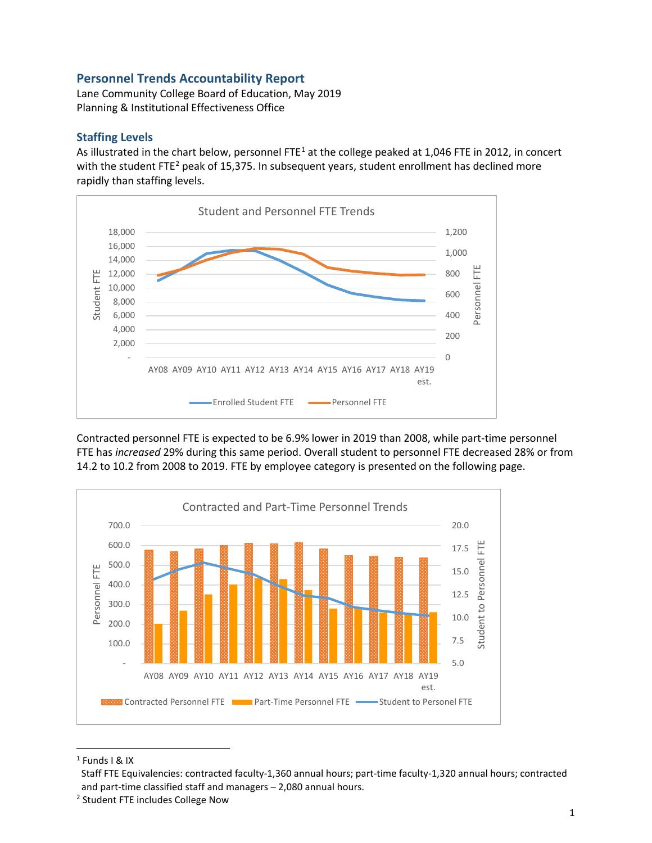## **Personnel Trends Accountability Report**

Lane Community College Board of Education, May 2019 Planning & Institutional Effectiveness Office

## **Staffing Levels**

As illustrated in the chart below, personnel FTE<sup>[1](#page-0-0)</sup> at the college peaked at 1,046 FTE in 2012, in concert with the student FTE<sup>[2](#page-0-1)</sup> peak of 15,375. In subsequent years, student enrollment has declined more rapidly than staffing levels.



Contracted personnel FTE is expected to be 6.9% lower in 2019 than 2008, while part-time personnel FTE has *increased* 29% during this same period. Overall student to personnel FTE decreased 28% or from 14.2 to 10.2 from 2008 to 2019. FTE by employee category is presented on the following page.



<span id="page-0-0"></span> $1$  Funds I & IX

Staff FTE Equivalencies: contracted faculty-1,360 annual hours; part-time faculty-1,320 annual hours; contracted and part-time classified staff and managers – 2,080 annual hours.

<span id="page-0-1"></span><sup>2</sup> Student FTE includes College Now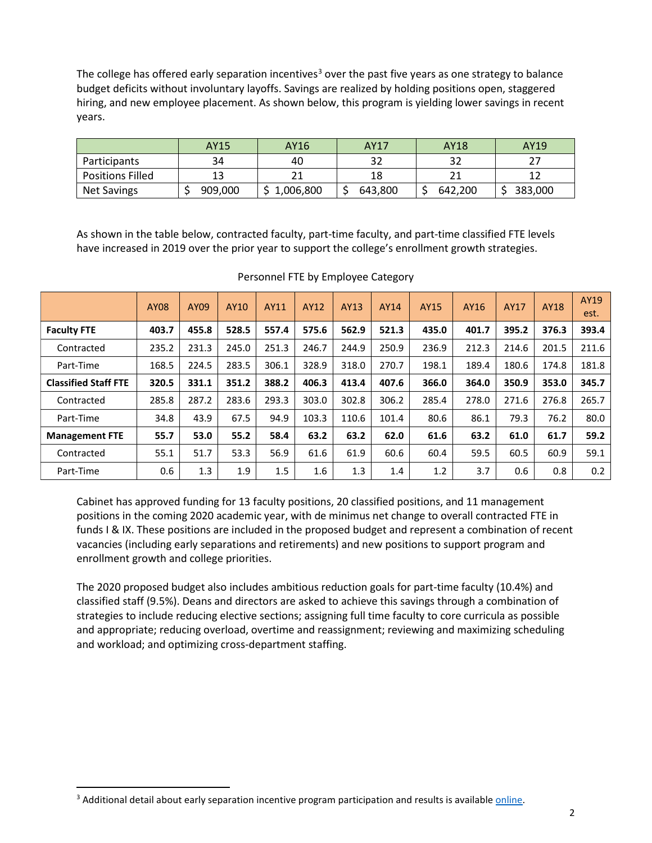The college has offered early separation incentives<sup>[3](#page-1-0)</sup> over the past five years as one strategy to balance budget deficits without involuntary layoffs. Savings are realized by holding positions open, staggered hiring, and new employee placement. As shown below, this program is yielding lower savings in recent years.

|                         | AY15    | AY16      | AY17    | AY18    | AY19    |
|-------------------------|---------|-----------|---------|---------|---------|
| Participants            | 34      | 40        |         |         |         |
| <b>Positions Filled</b> |         |           |         |         |         |
| <b>Net Savings</b>      | 909,000 | 1,006,800 | 643.800 | 642.200 | 383,000 |

As shown in the table below, contracted faculty, part-time faculty, and part-time classified FTE levels have increased in 2019 over the prior year to support the college's enrollment growth strategies.

|                             | <b>AY08</b> | AY09  | AY10  | AY11  | AY12  | AY13  | AY14  | <b>AY15</b> | AY16  | <b>AY17</b> | <b>AY18</b> | AY19<br>est. |
|-----------------------------|-------------|-------|-------|-------|-------|-------|-------|-------------|-------|-------------|-------------|--------------|
| <b>Faculty FTE</b>          | 403.7       | 455.8 | 528.5 | 557.4 | 575.6 | 562.9 | 521.3 | 435.0       | 401.7 | 395.2       | 376.3       | 393.4        |
| Contracted                  | 235.2       | 231.3 | 245.0 | 251.3 | 246.7 | 244.9 | 250.9 | 236.9       | 212.3 | 214.6       | 201.5       | 211.6        |
| Part-Time                   | 168.5       | 224.5 | 283.5 | 306.1 | 328.9 | 318.0 | 270.7 | 198.1       | 189.4 | 180.6       | 174.8       | 181.8        |
| <b>Classified Staff FTE</b> | 320.5       | 331.1 | 351.2 | 388.2 | 406.3 | 413.4 | 407.6 | 366.0       | 364.0 | 350.9       | 353.0       | 345.7        |
| Contracted                  | 285.8       | 287.2 | 283.6 | 293.3 | 303.0 | 302.8 | 306.2 | 285.4       | 278.0 | 271.6       | 276.8       | 265.7        |
| Part-Time                   | 34.8        | 43.9  | 67.5  | 94.9  | 103.3 | 110.6 | 101.4 | 80.6        | 86.1  | 79.3        | 76.2        | 80.0         |
| <b>Management FTE</b>       | 55.7        | 53.0  | 55.2  | 58.4  | 63.2  | 63.2  | 62.0  | 61.6        | 63.2  | 61.0        | 61.7        | 59.2         |
| Contracted                  | 55.1        | 51.7  | 53.3  | 56.9  | 61.6  | 61.9  | 60.6  | 60.4        | 59.5  | 60.5        | 60.9        | 59.1         |
| Part-Time                   | 0.6         | 1.3   | 1.9   | 1.5   | 1.6   | 1.3   | 1.4   | 1.2         | 3.7   | 0.6         | 0.8         | 0.2          |

Personnel FTE by Employee Category

Cabinet has approved funding for 13 faculty positions, 20 classified positions, and 11 management positions in the coming 2020 academic year, with de minimus net change to overall contracted FTE in funds I & IX. These positions are included in the proposed budget and represent a combination of recent vacancies (including early separations and retirements) and new positions to support program and enrollment growth and college priorities.

The 2020 proposed budget also includes ambitious reduction goals for part-time faculty (10.4%) and classified staff (9.5%). Deans and directors are asked to achieve this savings through a combination of strategies to include reducing elective sections; assigning full time faculty to core curricula as possible and appropriate; reducing overload, overtime and reassignment; reviewing and maximizing scheduling and workload; and optimizing cross-department staffing.

<span id="page-1-0"></span><sup>&</sup>lt;sup>3</sup> Additional detail about early separation incentive program participation and results is available *online*.